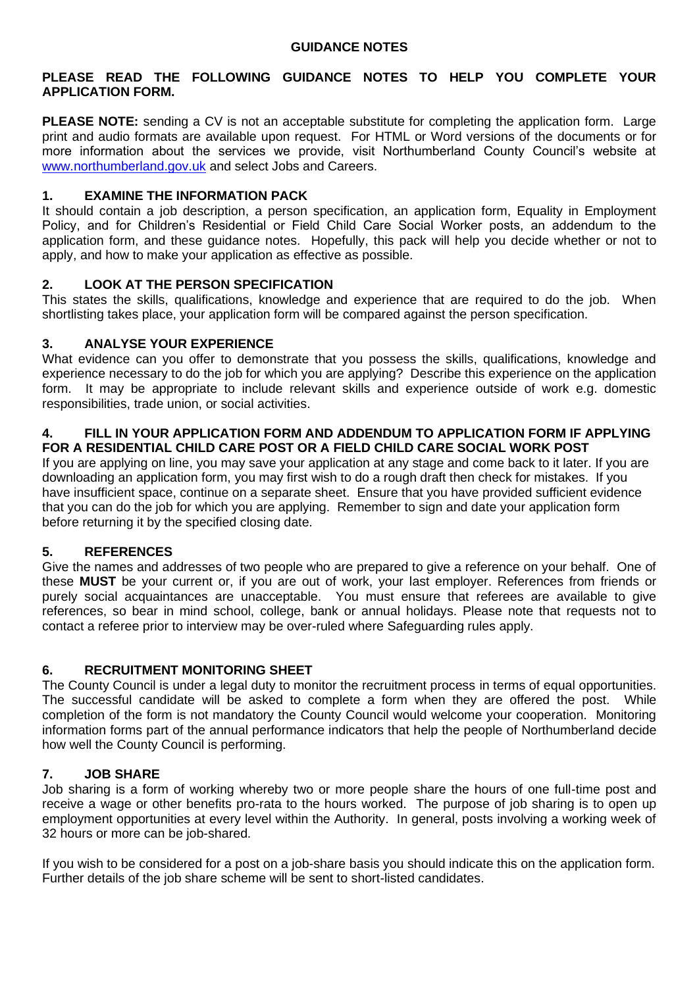### **PLEASE READ THE FOLLOWING GUIDANCE NOTES TO HELP YOU COMPLETE YOUR APPLICATION FORM.**

**PLEASE NOTE:** sending a CV is not an acceptable substitute for completing the application form. Large print and audio formats are available upon request. For HTML or Word versions of the documents or for more information about the services we provide, visit Northumberland County Council's website at www.northumberland.gov.uk and select Jobs and Careers.

# **1. EXAMINE THE INFORMATION PACK**

It should contain a job description, a person specification, an application form, Equality in Employment Policy, and for Children's Residential or Field Child Care Social Worker posts, an addendum to the application form, and these guidance notes. Hopefully, this pack will help you decide whether or not to apply, and how to make your application as effective as possible.

### **2. LOOK AT THE PERSON SPECIFICATION**

This states the skills, qualifications, knowledge and experience that are required to do the job. When shortlisting takes place, your application form will be compared against the person specification.

### **3. ANALYSE YOUR EXPERIENCE**

What evidence can you offer to demonstrate that you possess the skills, qualifications, knowledge and experience necessary to do the job for which you are applying? Describe this experience on the application form. It may be appropriate to include relevant skills and experience outside of work e.g. domestic responsibilities, trade union, or social activities.

#### **4. FILL IN YOUR APPLICATION FORM AND ADDENDUM TO APPLICATION FORM IF APPLYING FOR A RESIDENTIAL CHILD CARE POST OR A FIELD CHILD CARE SOCIAL WORK POST**

If you are applying on line, you may save your application at any stage and come back to it later. If you are downloading an application form, you may first wish to do a rough draft then check for mistakes. If you have insufficient space, continue on a separate sheet. Ensure that you have provided sufficient evidence that you can do the job for which you are applying. Remember to sign and date your application form before returning it by the specified closing date.

# **5. REFERENCES**

Give the names and addresses of two people who are prepared to give a reference on your behalf. One of these **MUST** be your current or, if you are out of work, your last employer. References from friends or purely social acquaintances are unacceptable. You must ensure that referees are available to give references, so bear in mind school, college, bank or annual holidays. Please note that requests not to contact a referee prior to interview may be over-ruled where Safeguarding rules apply.

### **6. RECRUITMENT MONITORING SHEET**

The County Council is under a legal duty to monitor the recruitment process in terms of equal opportunities. The successful candidate will be asked to complete a form when they are offered the post. While completion of the form is not mandatory the County Council would welcome your cooperation. Monitoring information forms part of the annual performance indicators that help the people of Northumberland decide how well the County Council is performing.

### **7. JOB SHARE**

Job sharing is a form of working whereby two or more people share the hours of one full-time post and receive a wage or other benefits pro-rata to the hours worked. The purpose of job sharing is to open up employment opportunities at every level within the Authority. In general, posts involving a working week of 32 hours or more can be job-shared.

If you wish to be considered for a post on a job-share basis you should indicate this on the application form. Further details of the job share scheme will be sent to short-listed candidates.